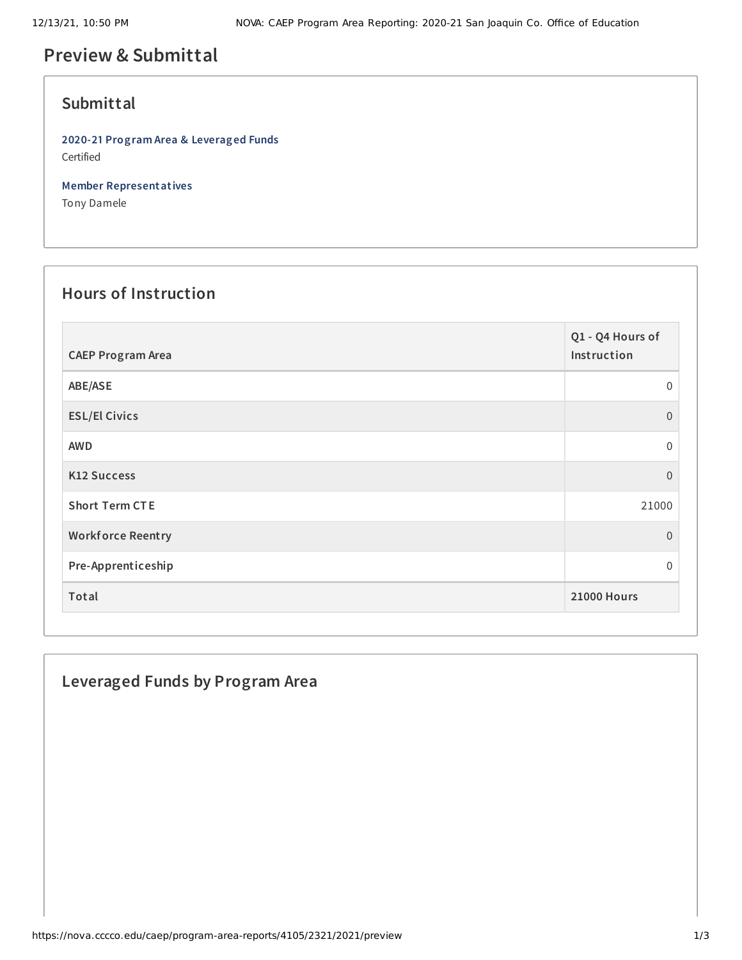# **Preview & Submittal**

#### **Submittal**

**2020-21 Program Area & Leveraged Funds** Certified

**Member Representatives**

Tony Damele

## **Hours of Instruction**

| <b>CAEP Program Area</b> | Q1 - Q4 Hours of<br>Instruction |
|--------------------------|---------------------------------|
| ABE/ASE                  | $\Omega$                        |
| <b>ESL/El Civics</b>     | $\Omega$                        |
| <b>AWD</b>               | $\mathbf 0$                     |
| <b>K12 Success</b>       | $\Omega$                        |
| <b>Short Term CTE</b>    | 21000                           |
| <b>Workforce Reentry</b> | $\Omega$                        |
| Pre-Apprenticeship       | 0                               |
| Total                    | <b>21000 Hours</b>              |

### **Leveraged Funds by Program Area**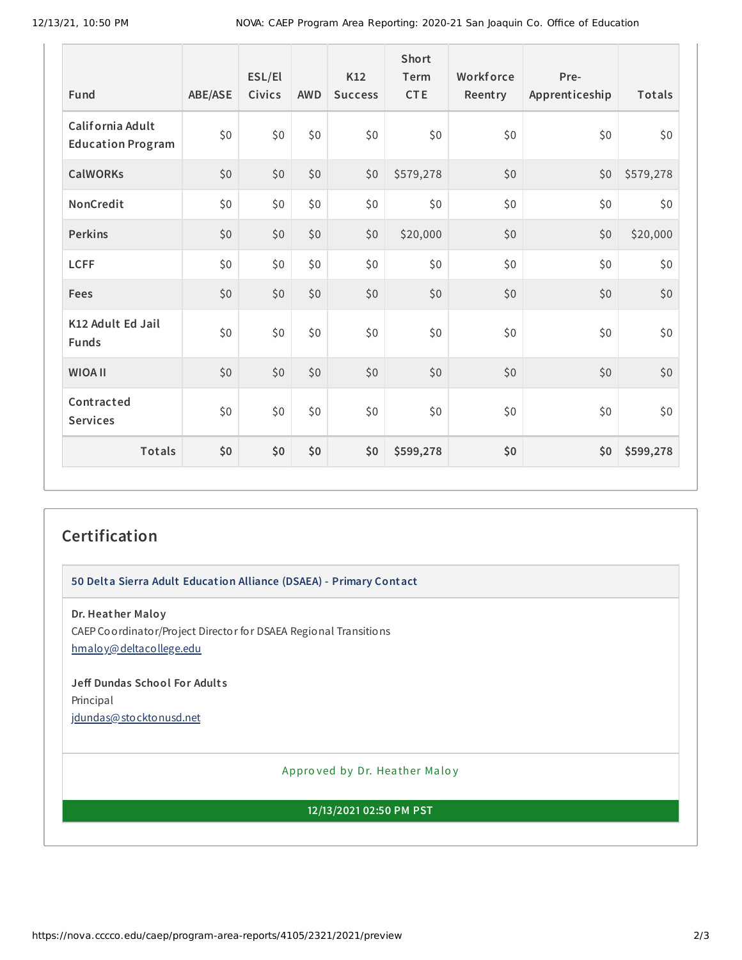| Fund                                         | <b>ABE/ASE</b> | ESL/El<br><b>Civics</b> | <b>AWD</b> | K12<br><b>Success</b> | <b>Short</b><br>Term<br><b>CTE</b> | Workforce<br>Reentry | Pre-<br>Apprenticeship | Totals    |
|----------------------------------------------|----------------|-------------------------|------------|-----------------------|------------------------------------|----------------------|------------------------|-----------|
| California Adult<br><b>Education Program</b> | \$0            | \$0                     | \$0        | \$0\$                 | \$0                                | \$0                  | \$0                    | \$0       |
| <b>CalWORKs</b>                              | \$0            | \$0                     | \$0        | \$0                   | \$579,278                          | \$0                  | \$0                    | \$579,278 |
| NonCredit                                    | \$0            | \$0                     | \$0        | \$0                   | \$0                                | \$0                  | \$0                    | \$0       |
| <b>Perkins</b>                               | \$0            | \$0                     | \$0        | \$0                   | \$20,000                           | \$0                  | \$0                    | \$20,000  |
| <b>LCFF</b>                                  | \$0            | \$0                     | \$0        | \$0                   | \$0                                | \$0                  | \$0                    | \$0       |
| Fees                                         | \$0            | \$0                     | \$0        | \$0                   | \$0                                | \$0                  | \$0                    | \$0       |
| K12 Adult Ed Jail<br><b>Funds</b>            | \$0            | \$0                     | \$0        | \$0                   | \$0                                | \$0                  | \$0                    | \$0       |
| <b>WIOA II</b>                               | \$0            | \$0                     | \$0        | \$0                   | \$0                                | \$0                  | \$0                    | \$0       |
| Contracted<br><b>Services</b>                | \$0            | \$0                     | \$0        | \$0                   | \$0\$                              | \$0                  | \$0                    | \$0       |
| <b>Totals</b>                                | \$0            | \$0                     | \$0        | \$0                   | \$599,278                          | \$0                  | \$0                    | \$599,278 |

### **Certification**

**50 Delta Sierra Adult Education Alliance (DSAEA) - Primary Contact**

**Dr. Heather Maloy**

CAEP Coordinator/Project Director for DSAEA Regional Transitions [hmaloy@deltacollege.edu](mailto:hmaloy@deltacollege.edu)

**Jeff Dundas School For Adult s** Principal [jdundas@stocktonusd.net](mailto:jdundas@stocktonusd.net)

Appro ved by Dr. Heather Maloy

**12/13/2021 02:50 PM PST**